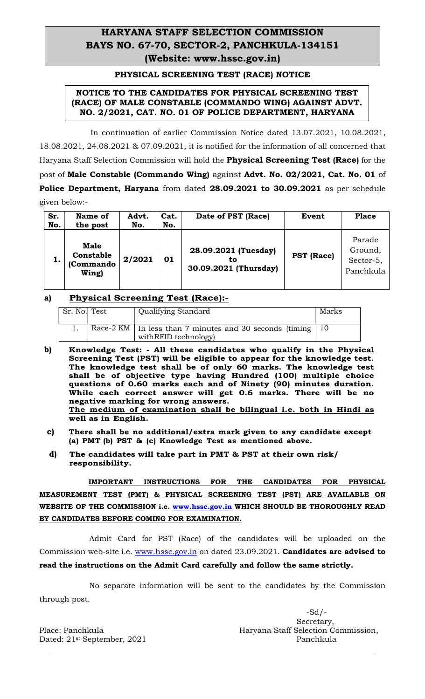# HARYANA STAFF SELECTION COMMISSION BAYS NO. 67-70, SECTOR-2, PANCHKULA-134151 (Website: www.hssc.gov.in)

#### PHYSICAL SCREENING TEST (RACE) NOTICE

## NOTICE TO THE CANDIDATES FOR PHYSICAL SCREENING TEST (RACE) OF MALE CONSTABLE (COMMANDO WING) AGAINST ADVT. NO. 2/2021, CAT. NO. 01 OF POLICE DEPARTMENT, HARYANA

 In continuation of earlier Commission Notice dated 13.07.2021, 10.08.2021, 18.08.2021, 24.08.2021 & 07.09.2021, it is notified for the information of all concerned that Haryana Staff Selection Commission will hold the **Physical Screening Test (Race)** for the post of Male Constable (Commando Wing) against Advt. No. 02/2021, Cat. No. 01 of Police Department, Haryana from dated 28.09.2021 to 30.09.2021 as per schedule given below:-

| Sr.<br>No. | Name of<br>the post                            | Advt.<br>No. | Cat.<br>No. | Date of PST (Race)                                  | Event             | <b>Place</b>                                |
|------------|------------------------------------------------|--------------|-------------|-----------------------------------------------------|-------------------|---------------------------------------------|
|            | <b>Male</b><br>Constable<br>(Commando<br>Wing) | 2/2021       | 01          | 28.09.2021 (Tuesday)<br>tο<br>30.09.2021 (Thursday) | <b>PST</b> (Race) | Parade<br>Ground,<br>Sector-5,<br>Panchkula |

## a) Physical Screening Test (Race):-

| Sr. No. Test | <b>Qualifying Standard</b>                                                         | Marks |
|--------------|------------------------------------------------------------------------------------|-------|
|              | Race-2 KM   In less than 7 minutes and 30 seconds (timing<br>with RFID technology) |       |

- b) Knowledge Test: All these candidates who qualify in the Physical Screening Test (PST) will be eligible to appear for the knowledge test. The knowledge test shall be of only 60 marks. The knowledge test shall be of objective type having Hundred (100) multiple choice questions of 0.60 marks each and of Ninety (90) minutes duration. While each correct answer will get 0.6 marks. There will be no negative marking for wrong answers. The medium of examination shall be bilingual i.e. both in Hindi as
- well as in English.<br>
c) There shall be no additional/extra mark given to any candidate except (a) PMT (b) PST & (c) Knowledge Test as mentioned above.
- d) The candidates will take part in PMT & PST at their own risk/ responsibility.

 IMPORTANT INSTRUCTIONS FOR THE CANDIDATES FOR PHYSICAL MEASUREMENT TEST (PMT) & PHYSICAL SCREENING TEST (PST) ARE AVAILABLE ON WEBSITE OF THE COMMISSION i.e. www.hssc.gov.in WHICH SHOULD BE THOROUGHLY READ BY CANDIDATES BEFORE COMING FOR EXAMINATION.

Admit Card for PST (Race) of the candidates will be uploaded on the Commission web-site i.e. www.hssc.gov.in on dated 23.09.2021. Candidates are advised to read the instructions on the Admit Card carefully and follow the same strictly.

 No separate information will be sent to the candidates by the Commission through post.

Dated: 21<sup>st</sup> September, 2021 Panchkula

 $-Sd/$ - Secretary, Place: Panchkula **Haryana Staff Selection Commission**,